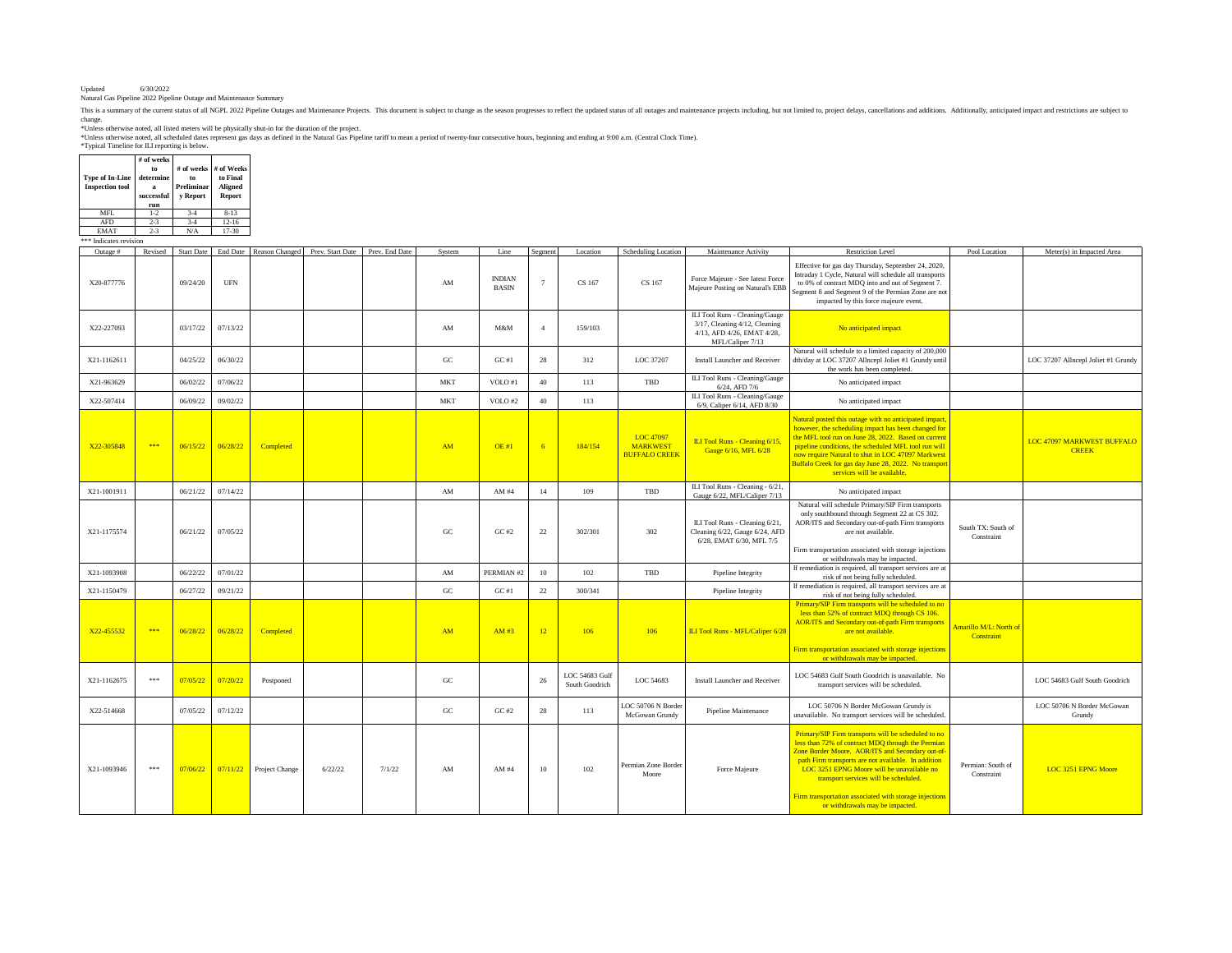Updated 6/30/2022 Natural Gas Pipeline 2022 Pipeline Outage and Maintenance Summary

This is a summary of the current status of all NGPL 2022 Pipeline Outages and Maintenance Projects. This document is subject to change as the season progresses to reflect the updated status of all outages and maintenance p

change.<br>\*Unless otherwise noted, all listed meters will be physically shut-in for the duration of the project.<br>\*Unless otherwise noted, all scheduled dates represent gas days as defined in the Natural Gas Pipeline tariff t

| <b>Type of In-Line</b><br><b>Inspection tool</b> | # of weeks<br>to<br>determine<br>я<br>successful<br>run | # of weeks<br>to<br>Preliminar<br>y Report | # of Weeks<br>to Final<br>Aligned<br>Report |
|--------------------------------------------------|---------------------------------------------------------|--------------------------------------------|---------------------------------------------|
| MFI.                                             | $1-2$                                                   | $3-4$                                      | $8 - 13$                                    |
| <b>AFD</b>                                       | $2 - 3$                                                 | $3 - 4$                                    | $12 - 16$                                   |
| <b>EMAT</b>                                      | $2 - 3$                                                 | N/A                                        | 17-30                                       |
| Indicates revision<br>光光光                        |                                                         |                                            |                                             |

| Outage #    | Revised | Start Date |            | End Date Reason Changed | Prev. Start Date | Prev. End Date | System                 | Line                          | Segment          | Location                         | Scheduling Location                                  | Maintenance Activity                                                                                              | <b>Restriction Level</b>                                                                                                                                                                                                                                                                                                                                                                               | Pool Location                        | Meter(s) in Impacted Area                  |
|-------------|---------|------------|------------|-------------------------|------------------|----------------|------------------------|-------------------------------|------------------|----------------------------------|------------------------------------------------------|-------------------------------------------------------------------------------------------------------------------|--------------------------------------------------------------------------------------------------------------------------------------------------------------------------------------------------------------------------------------------------------------------------------------------------------------------------------------------------------------------------------------------------------|--------------------------------------|--------------------------------------------|
| X20-877776  |         | 09/24/20   | <b>UFN</b> |                         |                  |                | AM                     | <b>INDIAN</b><br><b>BASIN</b> | $\overline{7}$   | CS 167                           | CS 167                                               | Force Majeure - See latest Force<br>Majeure Posting on Natural's EBB                                              | Effective for gas day Thursday, September 24, 2020,<br>Intraday 1 Cycle, Natural will schedule all transports<br>to 0% of contract MDQ into and out of Segment 7.<br>Segment 8 and Segment 9 of the Permian Zone are not<br>impacted by this force majeure event.                                                                                                                                      |                                      |                                            |
| X22-227093  |         | 03/17/22   | 07/13/22   |                         |                  |                | AM                     | M&M                           | $\overline{4}$   | 159/103                          |                                                      | ILI Tool Runs - Cleaning/Gauge<br>3/17, Cleaning 4/12, Cleaning<br>4/13, AFD 4/26, EMAT 4/28,<br>MFL/Caliper 7/13 | No anticipated impact                                                                                                                                                                                                                                                                                                                                                                                  |                                      |                                            |
| X21-1162611 |         | 04/25/22   | 06/30/22   |                         |                  |                | GC                     | GC#1                          | 28               | 312                              | LOC 37207                                            | Install Launcher and Receiver                                                                                     | Natural will schedule to a limited capacity of 200,000<br>dth/day at LOC 37207 Allncepl Joliet #1 Grundy until<br>the work has been completed.                                                                                                                                                                                                                                                         |                                      | LOC 37207 Allncepl Joliet #1 Grundy        |
| X21-963629  |         | 06/02/22   | 07/06/22   |                         |                  |                | <b>MKT</b>             | VOLO#1                        | 40               | 113                              | TBD                                                  | ILI Tool Runs - Cleaning/Gauge<br>$6/24.$ AFD $7/6$                                                               | No anticipated impact                                                                                                                                                                                                                                                                                                                                                                                  |                                      |                                            |
| X22-507414  |         | 06/09/22   | 09/02/22   |                         |                  |                | MKT                    | VOLO#2                        | 40               | 113                              |                                                      | ILI Tool Runs - Cleaning/Gauge<br>6/9, Caliper 6/14, AFD 8/30                                                     | No anticipated impact                                                                                                                                                                                                                                                                                                                                                                                  |                                      |                                            |
| X22-305848  | 米米米     | 06/15/22   | 06/28/22   | Completed               |                  |                | AM                     | OE#1                          | 6                | 184/154                          | LOC 47097<br><b>MARKWEST</b><br><b>BUFFALO CREEK</b> | ILI Tool Runs - Cleaning 6/15,<br>Gauge 6/16, MFL 6/28                                                            | Natural posted this outage with no anticipated impact<br>however, the scheduling impact has been changed for<br>the MFL tool run on June 28, 2022. Based on current<br>pipeline conditions, the scheduled MFL tool run will<br>now require Natural to shut in LOC 47097 Markwest<br>Buffalo Creek for gas day June 28, 2022. No transpor<br>services will be available.                                |                                      | LOC 47097 MARKWEST BUFFALO<br><b>CREEK</b> |
| X21-1001911 |         | 06/21/22   | 07/14/22   |                         |                  |                | $\mathbf{A}\mathbf{M}$ | AM #4                         | 14               | 109                              | TBD                                                  | ILI Tool Runs - Cleaning - 6/21,<br>Gauge 6/22, MFL/Caliper 7/13                                                  | No anticipated impact                                                                                                                                                                                                                                                                                                                                                                                  |                                      |                                            |
| X21-1175574 |         | 06/21/22   | 07/05/22   |                         |                  |                | GC                     | GC#2                          | 22               | 302/301                          | 302                                                  | ILI Tool Runs - Cleaning 6/21,<br>Cleaning 6/22, Gauge 6/24, AFD<br>6/28, EMAT 6/30, MFL 7/5                      | Natural will schedule Primary/SIP Firm transports<br>only southbound through Segment 22 at CS 302.<br>AOR/ITS and Secondary out-of-path Firm transports<br>are not available.<br>Firm transportation associated with storage injections<br>or withdrawals may be impacted.                                                                                                                             | South TX: South of<br>Constraint     |                                            |
| X21-1093908 |         | 06/22/22   | 07/01/22   |                         |                  |                | AM                     | PERMIAN #2                    | 10 <sup>10</sup> | 102                              | TBD                                                  | Pipeline Integrity                                                                                                | If remediation is required, all transport services are at<br>risk of not being fully scheduled.                                                                                                                                                                                                                                                                                                        |                                      |                                            |
| X21-1150479 |         | 06/27/22   | 09/21/22   |                         |                  |                | GC                     | GC#1                          | $22\,$           | 300/341                          |                                                      | Pipeline Integrity                                                                                                | If remediation is required, all transport services are at<br>risk of not being fully scheduled.                                                                                                                                                                                                                                                                                                        |                                      |                                            |
| X22-455532  | 本本本     | 06/28/22   | 06/28/22   | Completed               |                  |                | AM                     | AM #3                         | 12               | 106                              | 106                                                  | ILI Tool Runs - MFL/Caliper 6/28                                                                                  | Primary/SIP Firm transports will be scheduled to no<br>less than 52% of contract MDQ through CS 106.<br><b>AOR/ITS</b> and Secondary out-of-path Firm transports<br>are not available.<br>Firm transportation associated with storage injections<br>or withdrawals may be impacted.                                                                                                                    | Amarillo M/L: North of<br>Constraint |                                            |
| X21-1162675 | $* * *$ | 07/05/22   | 07/20/22   | Postponed               |                  |                | G <sub>C</sub>         |                               | 26               | LOC 54683 Gulf<br>South Goodrich | LOC 54683                                            | Install Launcher and Receiver                                                                                     | LOC 54683 Gulf South Goodrich is unavailable. No<br>transport services will be scheduled.                                                                                                                                                                                                                                                                                                              |                                      | LOC 54683 Gulf South Goodrich              |
| X22-514668  |         | 07/05/22   | 07/12/22   |                         |                  |                | $_{\rm GC}$            | GC#2                          | 28               | 113                              | LOC 50706 N Border<br>McGowan Grundy                 | Pipeline Maintenance                                                                                              | LOC 50706 N Border McGowan Grundy is<br>unavailable. No transport services will be scheduled                                                                                                                                                                                                                                                                                                           |                                      | LOC 50706 N Border McGowan<br>Grundy       |
| X21-1093946 | 米米米     | 07/06/22   |            | 07/11/22 Project Change | 6/22/22          | 7/1/22         | AM                     | AM #4                         | 10               | 102                              | Permian Zone Border<br>Moore                         | Force Majeure                                                                                                     | Primary/SIP Firm transports will be scheduled to no<br>less than 72% of contract MDQ through the Permian<br>Zone Border Moore. AOR/ITS and Secondary out-of<br>path Firm transports are not available. In addition<br>LOC 3251 EPNG Moore will be unavailable no<br>transport services will be scheduled.<br>Firm transportation associated with storage injections<br>or withdrawals may be impacted. | Permian: South of<br>Constraint      | <b>LOC 3251 EPNG Moore</b>                 |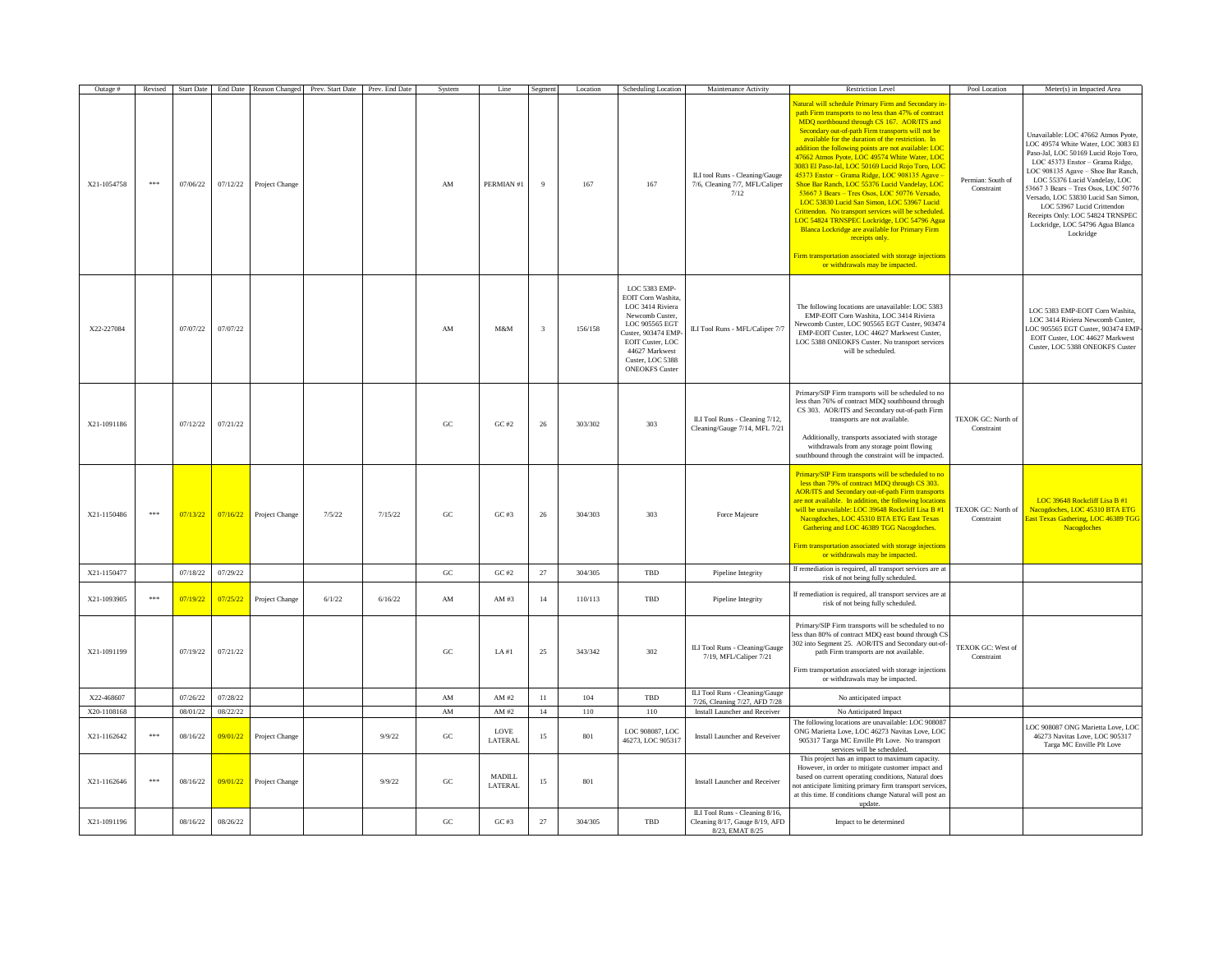| Outage #    | Revised | <b>Start Date</b> |          |                | End Date Reason Changed Prev. Start Date Prev. End Date |         | System                 | Line                     | Segmen | Location | Scheduling Location                                                                                                                                                                                  | Maintenance Activity                                                                | <b>Restriction Level</b>                                                                                                                                                                                                                                                                                                                                                                                                                                                                                                                                                                                                                                                                                                                                                                                                                                                                                 | Pool Location                    | Meter(s) in Impacted Area                                                                                                                                                                                                                                                                                                                                                                                                   |
|-------------|---------|-------------------|----------|----------------|---------------------------------------------------------|---------|------------------------|--------------------------|--------|----------|------------------------------------------------------------------------------------------------------------------------------------------------------------------------------------------------------|-------------------------------------------------------------------------------------|----------------------------------------------------------------------------------------------------------------------------------------------------------------------------------------------------------------------------------------------------------------------------------------------------------------------------------------------------------------------------------------------------------------------------------------------------------------------------------------------------------------------------------------------------------------------------------------------------------------------------------------------------------------------------------------------------------------------------------------------------------------------------------------------------------------------------------------------------------------------------------------------------------|----------------------------------|-----------------------------------------------------------------------------------------------------------------------------------------------------------------------------------------------------------------------------------------------------------------------------------------------------------------------------------------------------------------------------------------------------------------------------|
| X21-1054758 | 未来来     | 07/06/22          | 07/12/22 | Project Change |                                                         |         | AM                     | PERMIAN #1               | 9      | 167      | 167                                                                                                                                                                                                  | ILI tool Runs - Cleaning/Gauge<br>7/6, Cleaning 7/7, MFL/Caliper<br>7/12            | latural will schedule Primary Firm and Secondary in<br>path Firm transports to no less than 47% of contract<br>MDQ northbound through CS 167. AOR/ITS and<br>Secondary out-of-path Firm transports will not be<br>available for the duration of the restriction. In<br>addition the following points are not available: LOC<br>47662 Atmos Pyote, LOC 49574 White Water, LOC<br>3083 El Paso-Jal, LOC 50169 Lucid Roio Toro, LOC<br>45373 Enstor - Grama Ridge, LOC 908135 Agave<br>Shoe Bar Ranch, LOC 55376 Lucid Vandelay, LOC<br>53667 3 Bears - Tres Osos, LOC 50776 Versado,<br>LOC 53830 Lucid San Simon, LOC 53967 Lucid<br>Crittendon. No transport services will be scheduled<br>LOC 54824 TRNSPEC Lockridge, LOC 54796 Agua<br>Blanca Lockridge are available for Primary Firm<br>receipts only.<br>Firm transportation associated with storage injections<br>or withdrawals may be impacted. | Permian: South of<br>Constraint  | Unavailable: LOC 47662 Atmos Pyote,<br>LOC 49574 White Water, LOC 3083 El<br>Paso-Jal, LOC 50169 Lucid Rojo Toro,<br>LOC 45373 Enstor - Grama Ridge,<br>LOC 908135 Agave - Shoe Bar Ranch<br>LOC 55376 Lucid Vandelay, LOC<br>53667 3 Bears - Tres Osos, LOC 50776<br>Versado, LOC 53830 Lucid San Simon<br>LOC 53967 Lucid Crittendon<br>Receipts Only: LOC 54824 TRNSPEC<br>Lockridge, LOC 54796 Agua Blanca<br>Lockridge |
| X22-227084  |         | 07/07/22          | 07/07/22 |                |                                                         |         | AM                     | M&M                      | 3      | 156/158  | LOC 5383 EMP-<br>EOIT Corn Washita<br>LOC 3414 Riviera<br>Newcomb Custer,<br>LOC 905565 EGT<br>Custer, 903474 EMF<br>EOIT Custer, LOC<br>44627 Markwest<br>Custer, LOC 5388<br><b>ONEOKFS</b> Custer | ILI Tool Runs - MFL/Caliper 7/7                                                     | The following locations are unavailable: LOC 5383<br>EMP-EOIT Corn Washita, LOC 3414 Riviera<br>Newcomb Custer, LOC 905565 EGT Custer, 903474<br>EMP-EOIT Custer, LOC 44627 Markwest Custer,<br>LOC 5388 ONEOKFS Custer. No transport services<br>will be scheduled.                                                                                                                                                                                                                                                                                                                                                                                                                                                                                                                                                                                                                                     |                                  | LOC 5383 EMP-EOIT Corn Washita,<br>LOC 3414 Riviera Newcomb Custer.<br>LOC 905565 EGT Custer, 903474 EMP<br>EOIT Custer, LOC 44627 Markwest<br>Custer, LOC 5388 ONEOKFS Custer                                                                                                                                                                                                                                              |
| X21-1091186 |         | 07/12/22          | 07/21/22 |                |                                                         |         | GC                     | GC#2                     | 26     | 303/302  | 303                                                                                                                                                                                                  | ILI Tool Runs - Cleaning 7/12,<br>Cleaning/Gauge 7/14, MFL 7/21                     | Primary/SIP Firm transports will be scheduled to no<br>less than 76% of contract MDQ southbound through<br>CS 303. AOR/ITS and Secondary out-of-path Firm<br>transports are not available.<br>Additionally, transports associated with storage<br>withdrawals from any storage point flowing<br>southbound through the constraint will be impacted.                                                                                                                                                                                                                                                                                                                                                                                                                                                                                                                                                      | TEXOK GC: North of<br>Constraint |                                                                                                                                                                                                                                                                                                                                                                                                                             |
| X21-1150486 | 未来来     | 07/13/22          | 07/16/22 | Project Change | 7/5/22                                                  | 7/15/22 | G <sub>C</sub>         | GC#3                     | 26     | 304/303  | 303                                                                                                                                                                                                  | Force Majeure                                                                       | Primary/SIP Firm transports will be scheduled to no<br>less than 79% of contract MDQ through CS 303.<br><b>AOR/ITS</b> and Secondary out-of-path Firm transports<br>are not available. In addition, the following locations<br>will be unavailable: LOC 39648 Rockcliff Lisa B #1<br>Nacogdoches, LOC 45310 BTA ETG East Texas<br>Gathering and LOC 46389 TGG Nacogdoches.<br>Firm transportation associated with storage injections<br>or withdrawals may be impacted.                                                                                                                                                                                                                                                                                                                                                                                                                                  | TEXOK GC: North of<br>Constraint | LOC 39648 Rockcliff Lisa B #1<br>Nacogdoches, LOC 45310 BTA ETG<br>East Texas Gathering, LOC 46389 TGG<br>Nacogdoches                                                                                                                                                                                                                                                                                                       |
| X21-1150477 |         | 07/18/22          | 07/29/22 |                |                                                         |         | $_{\rm GC}$            | GC#2                     | 27     | 304/305  | TBD                                                                                                                                                                                                  | Pipeline Integrity                                                                  | If remediation is required, all transport services are at<br>risk of not being fully scheduled.                                                                                                                                                                                                                                                                                                                                                                                                                                                                                                                                                                                                                                                                                                                                                                                                          |                                  |                                                                                                                                                                                                                                                                                                                                                                                                                             |
| X21-1093905 | ***     | 07/19/22          | 07/25/22 | Project Change | 6/1/22                                                  | 6/16/22 | AM                     | AM#3                     | 14     | 110/113  | TBD                                                                                                                                                                                                  | Pipeline Integrity                                                                  | If remediation is required, all transport services are at<br>risk of not being fully scheduled.                                                                                                                                                                                                                                                                                                                                                                                                                                                                                                                                                                                                                                                                                                                                                                                                          |                                  |                                                                                                                                                                                                                                                                                                                                                                                                                             |
| X21-1091199 |         | 07/19/22          | 07/21/22 |                |                                                         |         | GC.                    | LA#1                     | 25     | 343/342  | 302                                                                                                                                                                                                  | ILI Tool Runs - Cleaning/Gauge<br>7/19, MFL/Caliper 7/21                            | Primary/SIP Firm transports will be scheduled to no<br>less than 80% of contract MDQ east bound through CS<br>302 into Segment 25. AOR/ITS and Secondary out-of<br>path Firm transports are not available.<br>Firm transportation associated with storage injections<br>or withdrawals may be impacted.                                                                                                                                                                                                                                                                                                                                                                                                                                                                                                                                                                                                  | TEXOK GC: West of<br>Constraint  |                                                                                                                                                                                                                                                                                                                                                                                                                             |
| X22-468607  |         | 07/26/22          | 07/28/22 |                |                                                         |         | AM                     | AM #2                    | 11     | 104      | TBD                                                                                                                                                                                                  | ILI Tool Runs - Cleaning/Gauge<br>7/26, Cleaning 7/27, AFD 7/28                     | No anticipated impact                                                                                                                                                                                                                                                                                                                                                                                                                                                                                                                                                                                                                                                                                                                                                                                                                                                                                    |                                  |                                                                                                                                                                                                                                                                                                                                                                                                                             |
| X20-1108168 |         | 08/01/22          | 08/22/22 |                |                                                         |         | $\mathbf{A}\mathbf{M}$ | AM #2                    | 14     | 110      | 110                                                                                                                                                                                                  | Install Launcher and Receiver                                                       | No Anticipated Impact                                                                                                                                                                                                                                                                                                                                                                                                                                                                                                                                                                                                                                                                                                                                                                                                                                                                                    |                                  |                                                                                                                                                                                                                                                                                                                                                                                                                             |
| X21-1162642 | 未来来     | 08/16/22          | 09/01/22 | Project Change |                                                         | 9/9/22  | $_{\rm GC}$            | LOVE<br>LATERAL          | 15     | 801      | LOC 908087, LOC<br>46273, LOC 90531                                                                                                                                                                  | Install Launcher and Reveiver                                                       | The following locations are unavailable: LOC 90808'<br>ONG Marietta Love, LOC 46273 Navitas Love, LOC<br>905317 Targa MC Enville Plt Love. No transport<br>services will be scheduled.                                                                                                                                                                                                                                                                                                                                                                                                                                                                                                                                                                                                                                                                                                                   |                                  | LOC 908087 ONG Marietta Love, LOC<br>46273 Navitas Love, LOC 905317<br>Targa MC Enville Plt Love                                                                                                                                                                                                                                                                                                                            |
| X21-1162646 | $* * *$ | 08/16/22          | 09/01/22 | Project Change |                                                         | 9/9/22  | G <sub>C</sub>         | <b>MADILL</b><br>LATERAL | 15     | 801      |                                                                                                                                                                                                      | Install Launcher and Receiver                                                       | This project has an impact to maximum capacity.<br>However, in order to mitigate customer impact and<br>based on current operating conditions, Natural does<br>not anticipate limiting primary firm transport services<br>at this time. If conditions change Natural will post an<br>update.                                                                                                                                                                                                                                                                                                                                                                                                                                                                                                                                                                                                             |                                  |                                                                                                                                                                                                                                                                                                                                                                                                                             |
| X21-1091196 |         | 08/16/22          | 08/26/22 |                |                                                         |         | $_{\rm GC}$            | $GC \#3$                 | 27     | 304/305  | TBD                                                                                                                                                                                                  | ILI Tool Runs - Cleaning 8/16,<br>Cleaning 8/17, Gauge 8/19, AFD<br>8/23, EMAT 8/25 | Impact to be determined                                                                                                                                                                                                                                                                                                                                                                                                                                                                                                                                                                                                                                                                                                                                                                                                                                                                                  |                                  |                                                                                                                                                                                                                                                                                                                                                                                                                             |